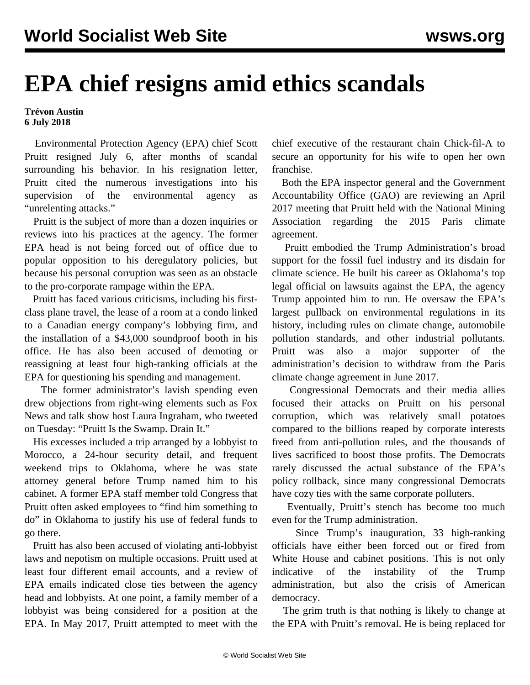## **EPA chief resigns amid ethics scandals**

## **Trévon Austin 6 July 2018**

 Environmental Protection Agency (EPA) chief Scott Pruitt resigned July 6, after months of scandal surrounding his behavior. In his resignation letter, Pruitt cited the numerous investigations into his supervision of the environmental agency as "unrelenting attacks."

 Pruitt is the subject of more than a dozen inquiries or reviews into his practices at the agency. The former EPA head is not being forced out of office due to popular opposition to his deregulatory policies, but because his personal corruption was seen as an obstacle to the pro-corporate rampage within the EPA.

 Pruitt has faced various criticisms, including his firstclass plane travel, the lease of a room at a condo linked to a Canadian energy company's lobbying firm, and the installation of a \$43,000 soundproof booth in his office. He has also been accused of demoting or reassigning at least four high-ranking officials at the EPA for questioning his spending and management.

 The former administrator's lavish spending even drew objections from right-wing elements such as Fox News and talk show host Laura Ingraham, who tweeted on Tuesday: "Pruitt Is the Swamp. Drain It."

 His excesses included a trip arranged by a lobbyist to Morocco, a 24-hour security detail, and frequent weekend trips to Oklahoma, where he was state attorney general before Trump named him to his cabinet. A former EPA staff member told Congress that Pruitt often asked employees to "find him something to do" in Oklahoma to justify his use of federal funds to go there.

 Pruitt has also been accused of violating anti-lobbyist laws and nepotism on multiple occasions. Pruitt used at least four different email accounts, and a review of EPA emails indicated close ties between the agency head and lobbyists. At one point, a family member of a lobbyist was being considered for a position at the EPA. In May 2017, Pruitt attempted to meet with the

chief executive of the restaurant chain Chick-fil-A to secure an opportunity for his wife to open her own franchise.

 Both the EPA inspector general and the Government Accountability Office (GAO) are reviewing an April 2017 meeting that Pruitt held with the National Mining Association regarding the 2015 Paris climate agreement.

 Pruitt embodied the Trump Administration's broad support for the fossil fuel industry and its disdain for climate science. He built his career as Oklahoma's top legal official on lawsuits against the EPA, the agency Trump appointed him to run. He oversaw the EPA's largest pullback on environmental regulations in its history, including rules on climate change, automobile pollution standards, and other industrial pollutants. Pruitt was also a major supporter of the administration's decision to withdraw from the Paris climate change agreement in June 2017.

 Congressional Democrats and their media allies focused their attacks on Pruitt on his personal corruption, which was relatively small potatoes compared to the billions reaped by corporate interests freed from anti-pollution rules, and the thousands of lives sacrificed to boost those profits. The Democrats rarely discussed the actual substance of the EPA's policy rollback, since many congressional Democrats have cozy ties with the same corporate polluters.

 Eventually, Pruitt's stench has become too much even for the Trump administration.

 Since Trump's inauguration, 33 high-ranking officials have either been forced out or fired from White House and cabinet positions. This is not only indicative of the instability of the Trump administration, but also the crisis of American democracy.

 The grim truth is that nothing is likely to change at the EPA with Pruitt's removal. He is being replaced for